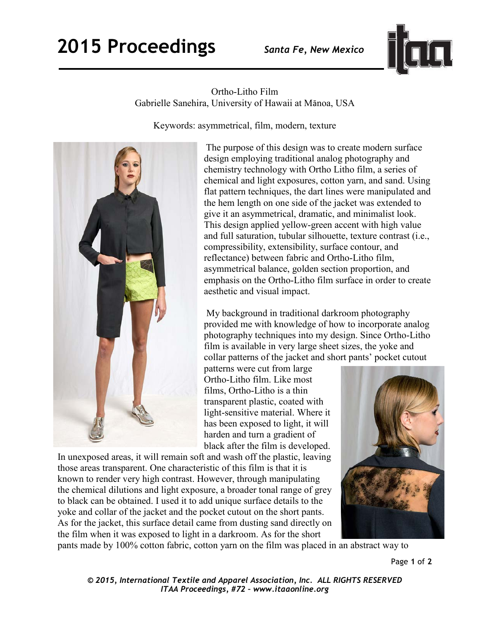

Ortho-Litho Film Gabrielle Sanehira, University of Hawaii at Mānoa, USA

Keywords: asymmetrical, film, modern, texture



The purpose of this design was to create modern surface design employing traditional analog photography and chemistry technology with Ortho Litho film, a series of chemical and light exposures, cotton yarn, and sand. Using flat pattern techniques, the dart lines were manipulated and the hem length on one side of the jacket was extended to give it an asymmetrical, dramatic, and minimalist look. This design applied yellow-green accent with high value and full saturation, tubular silhouette, texture contrast (i.e., compressibility, extensibility, surface contour, and reflectance) between fabric and Ortho-Litho film, asymmetrical balance, golden section proportion, and emphasis on the Ortho-Litho film surface in order to create aesthetic and visual impact.

 My background in traditional darkroom photography provided me with knowledge of how to incorporate analog photography techniques into my design. Since Ortho-Litho film is available in very large sheet sizes, the yoke and collar patterns of the jacket and short pants' pocket cutout

patterns were cut from large Ortho-Litho film. Like most films, Ortho-Litho is a thin transparent plastic, coated with light-sensitive material. Where it has been exposed to light, it will harden and turn a gradient of black after the film is developed.

In unexposed areas, it will remain soft and wash off the plastic, leaving those areas transparent. One characteristic of this film is that it is known to render very high contrast. However, through manipulating the chemical dilutions and light exposure, a broader tonal range of grey to black can be obtained. I used it to add unique surface details to the yoke and collar of the jacket and the pocket cutout on the short pants. As for the jacket, this surface detail came from dusting sand directly on the film when it was exposed to light in a darkroom. As for the short



pants made by 100% cotton fabric, cotton yarn on the film was placed in an abstract way to

*© 2015, International Textile and Apparel Association, Inc. ALL RIGHTS RESERVED ITAA Proceedings, #72 – www.itaaonline.org*